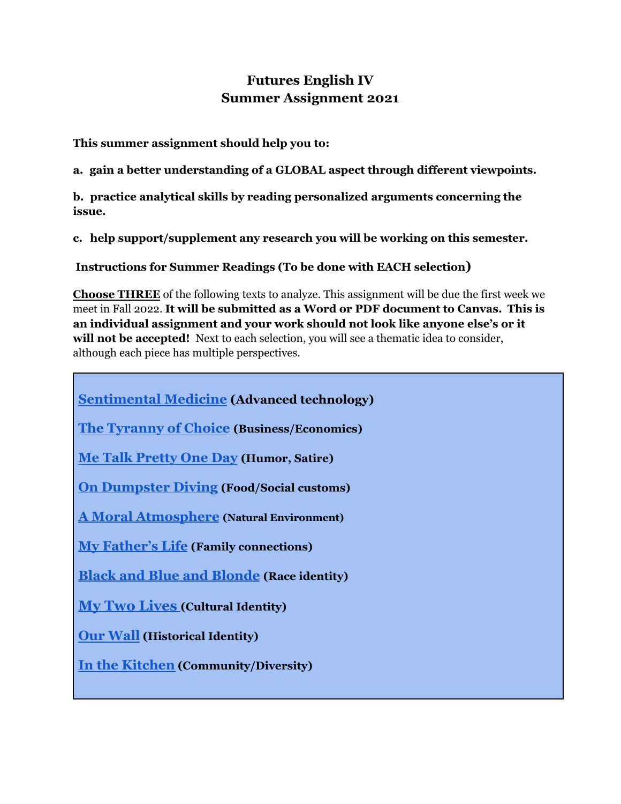## **Futures English IV Summer Assignment 2021**

**This summer assignment should help you to:**

**a. gain a better understanding of a GLOBAL aspect through different viewpoints.**

**b. practice analytical skills by reading personalized arguments concerning the issue.**

**c. help support/supplement any research you will be working on this semester.**

**Instructions for Summer Readings (To be done with EACH selection)**

**Choose THREE** of the following texts to analyze. This assignment will be due the first week we meet in Fall 2022. **It will be submitted as a Word or PDF document to Canvas. This is an individual assignment and your work should not look like anyone else's or it will not be accepted!** Next to each selection, you will see a thematic idea to consider, although each piece has multiple perspectives.

**[Sentimental](https://harpers.org/archive/2013/01/sentimental-medicine/) Medicine (Advanced technology) The [Tyranny](https://www.swarthmore.edu/SocSci/bschwar1/Sci.Amer.pdf) of Choice (Business/Economics) Me Talk [Pretty](https://www.esquire.com/lifestyle/a1419/talk-pretty-0399/) One Day (Humor, Satire) On [Dumpster](https://scholarworks.umb.edu/cgi/viewcontent.cgi?article=1539&context=nejpp) Diving (Food/Social customs) A Moral [Atmosphere](https://orionmagazine.org/article/a-moral-atmosphere/) (Natural Environment) My [Father's](https://public.wsu.edu/~hughesc/raymond_carver-fathers_lif.htm) Life (Family connections) Black and Blue and [Blonde](https://www.vqronline.org/essays-articles/2015/01/black-and-blue-and-blond) (Race identity) My Two [Lives](https://msfranzuchs.files.wordpress.com/2018/10/my-two-lives-short-story.pdf) (Cultural Identity) Our [Wall](http://soulproject.synthasite.com/resources/border/our%20wall%20(national%20geographic),%20charles%20bowden.pdf) (Historical Identity) In the [Kitchen](https://wr.english.fsu.edu/sites/g/files/upcbnu1141/files/media/files/college_composition/inkwell/course%20materials/in%20the%20kitchen.pdf) (Community/Diversity)**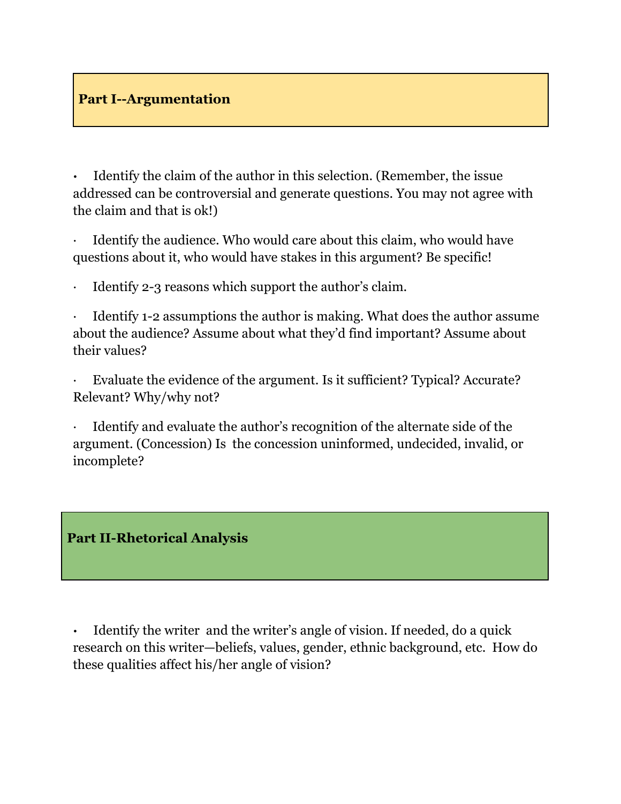## **Part I--Argumentation**

**·** Identify the claim of the author in this selection. (Remember, the issue addressed can be controversial and generate questions. You may not agree with the claim and that is ok!)

Identify the audience. Who would care about this claim, who would have questions about it, who would have stakes in this argument? Be specific!

Identify 2-3 reasons which support the author's claim.

Identify 1-2 assumptions the author is making. What does the author assume about the audience? Assume about what they'd find important? Assume about their values?

Evaluate the evidence of the argument. Is it sufficient? Typical? Accurate? Relevant? Why/why not?

Identify and evaluate the author's recognition of the alternate side of the argument. (Concession) Is the concession uninformed, undecided, invalid, or incomplete?

## **Part II-Rhetorical Analysis**

**·** Identify the writer and the writer's angle of vision. If needed, do a quick research on this writer—beliefs, values, gender, ethnic background, etc. How do these qualities affect his/her angle of vision?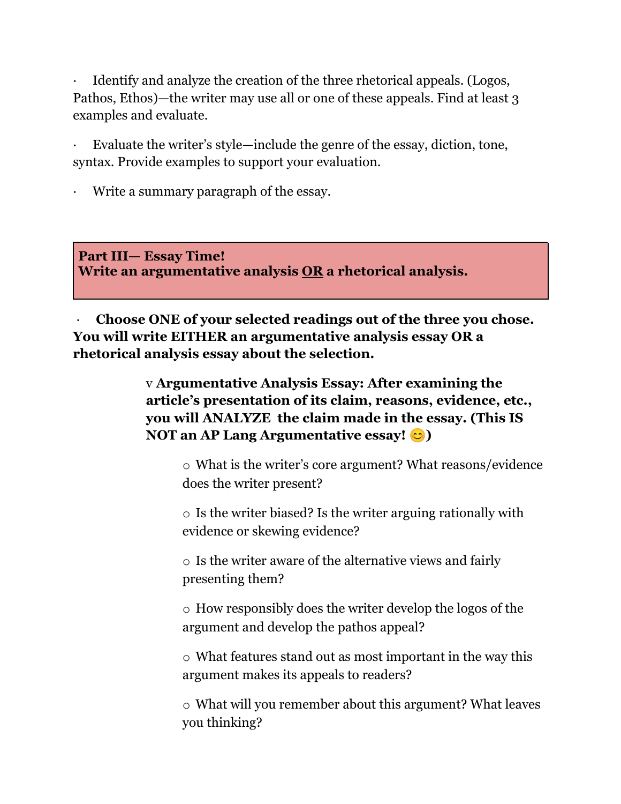Identify and analyze the creation of the three rhetorical appeals. (Logos, Pathos, Ethos)—the writer may use all or one of these appeals. Find at least 3 examples and evaluate.

Evaluate the writer's style—include the genre of the essay, diction, tone, syntax. Provide examples to support your evaluation.

Write a summary paragraph of the essay.

**Part III— Essay Time! Write an argumentative analysis OR a rhetorical analysis.**

· **Choose ONE of your selected readings out of the three you chose. You will write EITHER an argumentative analysis essay OR a rhetorical analysis essay about the selection.**

> v **Argumentative Analysis Essay: After examining the article's presentation of its claim, reasons, evidence, etc., you will ANALYZE the claim made in the essay. (This IS NOT an AP Lang Argumentative essay! )**

o What is the writer's core argument? What reasons/evidence does the writer present?

o Is the writer biased? Is the writer arguing rationally with evidence or skewing evidence?

o Is the writer aware of the alternative views and fairly presenting them?

o How responsibly does the writer develop the logos of the argument and develop the pathos appeal?

o What features stand out as most important in the way this argument makes its appeals to readers?

o What will you remember about this argument? What leaves you thinking?